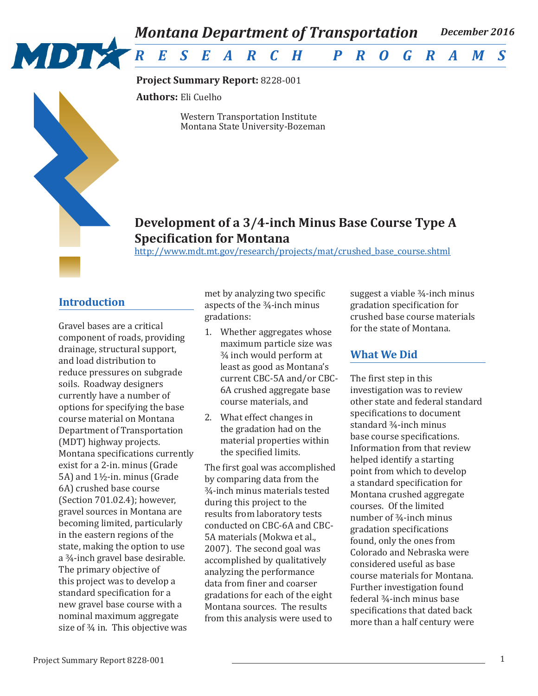

**Project Summary Report:** 8228-001

**Authors:** Eli Cuelho

Western Transportation Institute Montana State University-Bozeman

# **Development of a 3/4-inch Minus Base Course Type A Specification for Montana**

http://www.mdt.mt.gov/research/projects/mat/crushed\_base\_course.shtml

### **Introduction**

Gravel bases are a critical component of roads, providing drainage, structural support, and load distribution to reduce pressures on subgrade soils. Roadway designers currently have a number of options for specifying the base course material on Montana Department of Transportation (MDT) highway projects. Montana specifications currently exist for a 2-in. minus (Grade 5A) and 1½-in. minus (Grade 6A) crushed base course (Section 701.02.4); however, gravel sources in Montana are becoming limited, particularly in the eastern regions of the state, making the option to use a ¾-inch gravel base desirable. The primary objective of this project was to develop a standard specification for a new gravel base course with a nominal maximum aggregate size of ¾ in. This objective was

met by analyzing two specific aspects of the ¾-inch minus gradations:

- 1. Whether aggregates whose maximum particle size was ¾ inch would perform at least as good as Montana's current CBC-5A and/or CBC-6A crushed aggregate base course materials, and
- 2. What effect changes in the gradation had on the material properties within the specified limits.

The first goal was accomplished by comparing data from the ¾-inch minus materials tested during this project to the results from laboratory tests conducted on CBC-6A and CBC-5A materials (Mokwa et al., 2007). The second goal was accomplished by qualitatively analyzing the performance data from finer and coarser gradations for each of the eight Montana sources. The results from this analysis were used to

suggest a viable ¾-inch minus gradation specification for crushed base course materials for the state of Montana.

## **What We Did**

The first step in this investigation was to review other state and federal standard specifications to document standard ¾-inch minus base course specifications. Information from that review helped identify a starting point from which to develop a standard specification for Montana crushed aggregate courses. Of the limited number of ¾-inch minus gradation specifications found, only the ones from Colorado and Nebraska were considered useful as base course materials for Montana. Further investigation found federal ¾-inch minus base specifications that dated back more than a half century were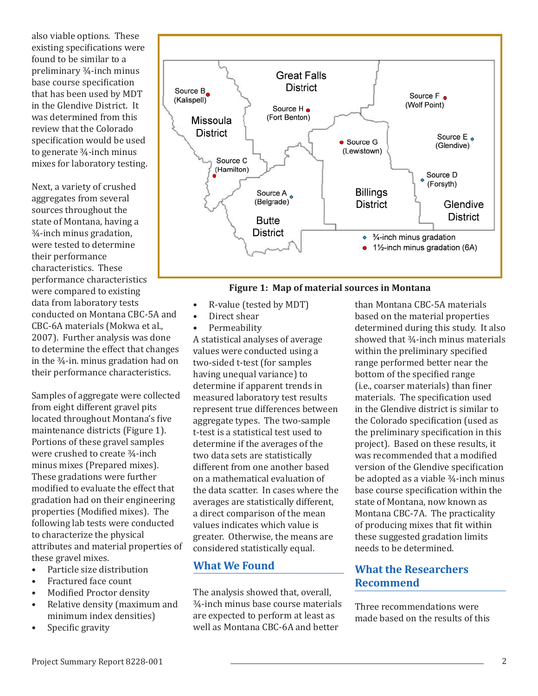also viable options. These existing specifications were found to be similar to a preliminary ¾-inch minus base course specification that has been used by MDT in the Glendive District. It was determined from this review that the Colorado specification would be used to generate ¾-inch minus mixes for laboratory testing.

Next, a variety of crushed aggregates from several sources throughout the state of Montana, having a ¾-inch minus gradation, were tested to determine their performance characteristics. These performance characteristics were compared to existing data from laboratory tests conducted on Montana CBC-5A and CBC-6A materials (Mokwa et al., 2007). Further analysis was done to determine the effect that changes in the ¾-in. minus gradation had on their performance characteristics.

Samples of aggregate were collected from eight different gravel pits located throughout Montana's five maintenance districts (Figure 1). Portions of these gravel samples were crushed to create ¾-inch minus mixes (Prepared mixes). These gradations were further modified to evaluate the effect that gradation had on their engineering properties (Modified mixes). The following lab tests were conducted to characterize the physical attributes and material properties of these gravel mixes.<br>• Particle size dis-

- Particle size distribution
- Fractured face count
- Modified Proctor density
- Relative density (maximum and minimum index densities)
- Specific gravity



#### **Figure 1: Map of material sources in Montana**

- R-value (tested by MDT)
	- Direct shear
- Permeability

A statistical analyses of average values were conducted using a two-sided t-test (for samples having unequal variance) to determine if apparent trends in measured laboratory test results represent true differences between aggregate types. The two-sample t-test is a statistical test used to determine if the averages of the two data sets are statistically different from one another based on a mathematical evaluation of the data scatter. In cases where the averages are statistically different, a direct comparison of the mean values indicates which value is greater. Otherwise, the means are considered statistically equal.

### **What We Found**

The analysis showed that, overall, ¾-inch minus base course materials are expected to perform at least as well as Montana CBC-6A and better

than Montana CBC-5A materials based on the material properties determined during this study. It also showed that ¾-inch minus materials within the preliminary specified range performed better near the bottom of the specified range (i.e., coarser materials) than finer materials. The specification used in the Glendive district is similar to the Colorado specification (used as the preliminary specification in this project). Based on these results, it was recommended that a modified version of the Glendive specification be adopted as a viable ¾-inch minus base course specification within the state of Montana, now known as Montana CBC-7A. The practicality of producing mixes that fit within these suggested gradation limits needs to be determined.

## **What the Researchers Recommend**

Three recommendations were made based on the results of this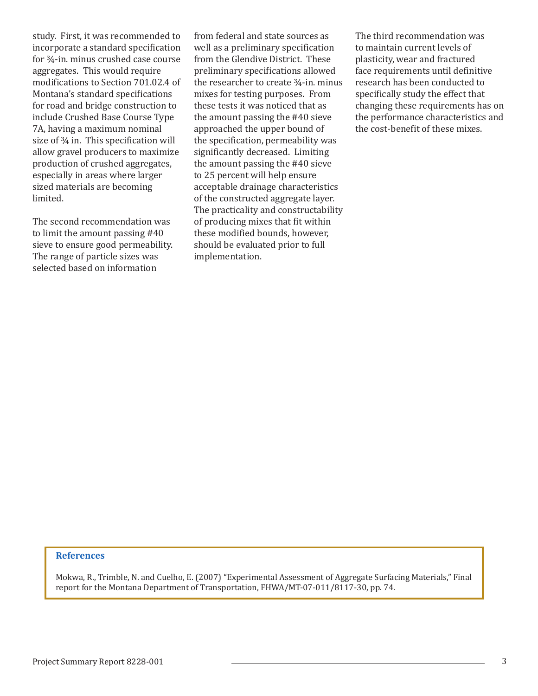study. First, it was recommended to incorporate a standard specification for ¾-in. minus crushed case course aggregates. This would require modifications to Section 701.02.4 of Montana's standard specifications for road and bridge construction to include Crushed Base Course Type 7A, having a maximum nominal size of  $\frac{3}{4}$  in. This specification will allow gravel producers to maximize production of crushed aggregates, especially in areas where larger sized materials are becoming limited.

The second recommendation was to limit the amount passing #40 sieve to ensure good permeability. The range of particle sizes was selected based on information

from federal and state sources as well as a preliminary specification from the Glendive District. These preliminary specifications allowed the researcher to create ¾-in. minus mixes for testing purposes. From these tests it was noticed that as the amount passing the #40 sieve approached the upper bound of the specification, permeability was significantly decreased. Limiting the amount passing the #40 sieve to 25 percent will help ensure acceptable drainage characteristics of the constructed aggregate layer. The practicality and constructability of producing mixes that fit within these modified bounds, however, should be evaluated prior to full implementation.

The third recommendation was to maintain current levels of plasticity, wear and fractured face requirements until definitive research has been conducted to specifically study the effect that changing these requirements has on the performance characteristics and the cost-benefit of these mixes.

#### **References**

Mokwa, R., Trimble, N. and Cuelho, E. (2007) "Experimental Assessment of Aggregate Surfacing Materials," Final report for the Montana Department of Transportation, FHWA/MT-07-011/8117-30, pp. 74.